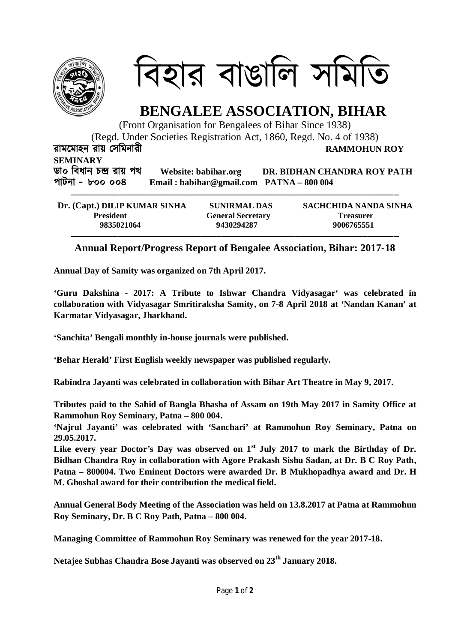

িবহার বাঙািল সিমিত

## **BENGALEE ASSOCIATION, BIHAR**

(Front Organisation for Bengalees of Bihar Since 1938) (Regd. Under Societies Registration Act, 1860, Regd. No. 4 of 1938)

**রামেমাহন রায় Ʊসিমনারী RAMMOHUN ROY** 

**SEMINARY ডা০ িবধান চģ রায় পথ Website: babihar.org DR. BIDHAN CHANDRA ROY PATH পাটনা – ৮০০ ০০৪ Email : babihar@gmail.com PATNA – 800 004**

| Dr. (Capt.) DILIP KUMAR SINHA | <b>SUNIRMAL DAS</b>      | SACHCHIDA NANDA SINHA |
|-------------------------------|--------------------------|-----------------------|
| <b>President</b>              | <b>General Secretary</b> | <b>Treasurer</b>      |
| 9835021064                    | 9430294287               | 9006765551            |

## **Annual Report/Progress Report of Bengalee Association, Bihar: 2017-18**

**Annual Day of Samity was organized on 7th April 2017.**

**'Guru Dakshina - 2017: A Tribute to Ishwar Chandra Vidyasagar' was celebrated in collaboration with Vidyasagar Smritiraksha Samity, on 7-8 April 2018 at 'Nandan Kanan' at Karmatar Vidyasagar, Jharkhand.**

**'Sanchita' Bengali monthly in-house journals were published.**

**'Behar Herald' First English weekly newspaper was published regularly.**

**Rabindra Jayanti was celebrated in collaboration with Bihar Art Theatre in May 9, 2017.**

**Tributes paid to the Sahid of Bangla Bhasha of Assam on 19th May 2017 in Samity Office at Rammohun Roy Seminary, Patna – 800 004.**

**'Najrul Jayanti' was celebrated with 'Sanchari' at Rammohun Roy Seminary, Patna on 29.05.2017.**

**Like every year Doctor's Day was observed on 1st July 2017 to mark the Birthday of Dr. Bidhan Chandra Roy in collaboration with Agore Prakash Sishu Sadan, at Dr. B C Roy Path, Patna – 800004. Two Eminent Doctors were awarded Dr. B Mukhopadhya award and Dr. H M. Ghoshal award for their contribution the medical field.** 

**Annual General Body Meeting of the Association was held on 13.8.2017 at Patna at Rammohun Roy Seminary, Dr. B C Roy Path, Patna – 800 004.**

**Managing Committee of Rammohun Roy Seminary was renewed for the year 2017-18.**

**Netajee Subhas Chandra Bose Jayanti was observed on 23th January 2018.**